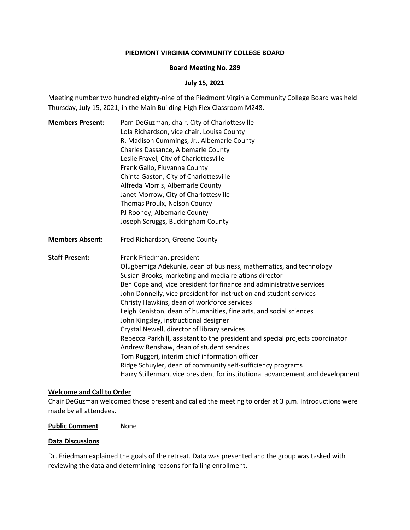# **PIEDMONT VIRGINIA COMMUNITY COLLEGE BOARD**

### **Board Meeting No. 289**

# **July 15, 2021**

Meeting number two hundred eighty-nine of the Piedmont Virginia Community College Board was held Thursday, July 15, 2021, in the Main Building High Flex Classroom M248.

- **Members Present:** Pam DeGuzman, chair, City of Charlottesville Lola Richardson, vice chair, Louisa County R. Madison Cummings, Jr., Albemarle County Charles Dassance, Albemarle County Leslie Fravel, City of Charlottesville Frank Gallo, Fluvanna County Chinta Gaston, City of Charlottesville Alfreda Morris, Albemarle County Janet Morrow, City of Charlottesville Thomas Proulx, Nelson County PJ Rooney, Albemarle County Joseph Scruggs, Buckingham County
- **Members Absent:** Fred Richardson, Greene County

**Staff Present:** Frank Friedman, president Olugbemiga Adekunle, dean of business, mathematics, and technology Susian Brooks, marketing and media relations director Ben Copeland, vice president for finance and administrative services John Donnelly, vice president for instruction and student services Christy Hawkins, dean of workforce services Leigh Keniston, dean of humanities, fine arts, and social sciences John Kingsley, instructional designer Crystal Newell, director of library services Rebecca Parkhill, assistant to the president and special projects coordinator Andrew Renshaw, dean of student services Tom Ruggeri, interim chief information officer Ridge Schuyler, dean of community self-sufficiency programs Harry Stillerman, vice president for institutional advancement and development

### **Welcome and Call to Order**

Chair DeGuzman welcomed those present and called the meeting to order at 3 p.m. Introductions were made by all attendees.

**Public Comment** None

#### **Data Discussions**

Dr. Friedman explained the goals of the retreat. Data was presented and the group was tasked with reviewing the data and determining reasons for falling enrollment.